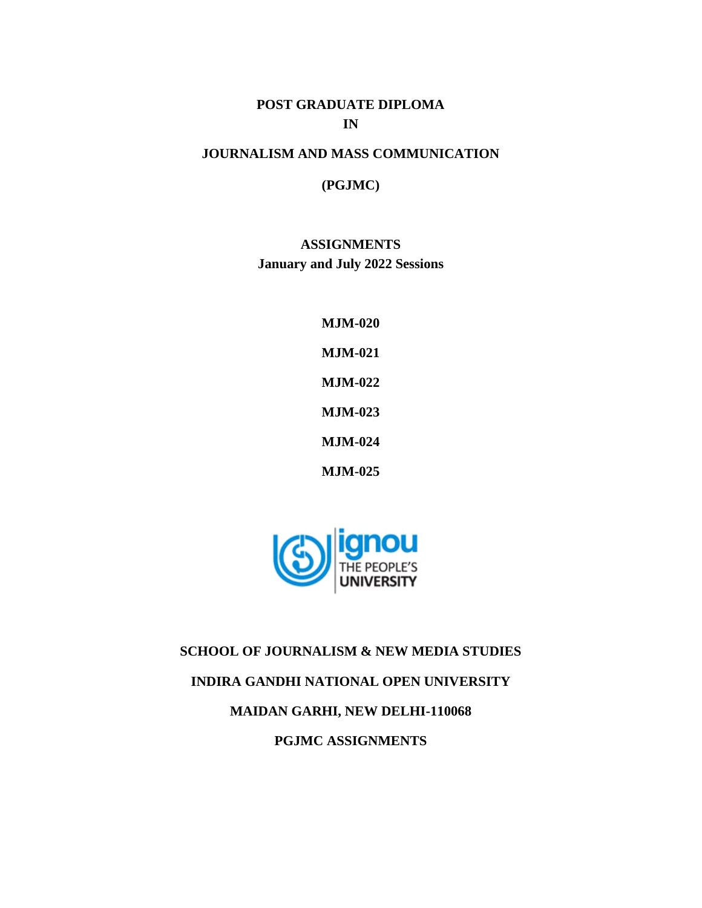# **POST GRADUATE DIPLOMA IN**

# **JOURNALISM AND MASS COMMUNICATION**

## **(PGJMC)**

**ASSIGNMENTS January and July 2022 Sessions**

> **MJM-020 MJM-021 MJM-022 MJM-023 MJM-024 MJM-025**



**SCHOOL OF JOURNALISM & NEW MEDIA STUDIES**

# **INDIRA GANDHI NATIONAL OPEN UNIVERSITY**

# **MAIDAN GARHI, NEW DELHI-110068**

**PGJMC ASSIGNMENTS**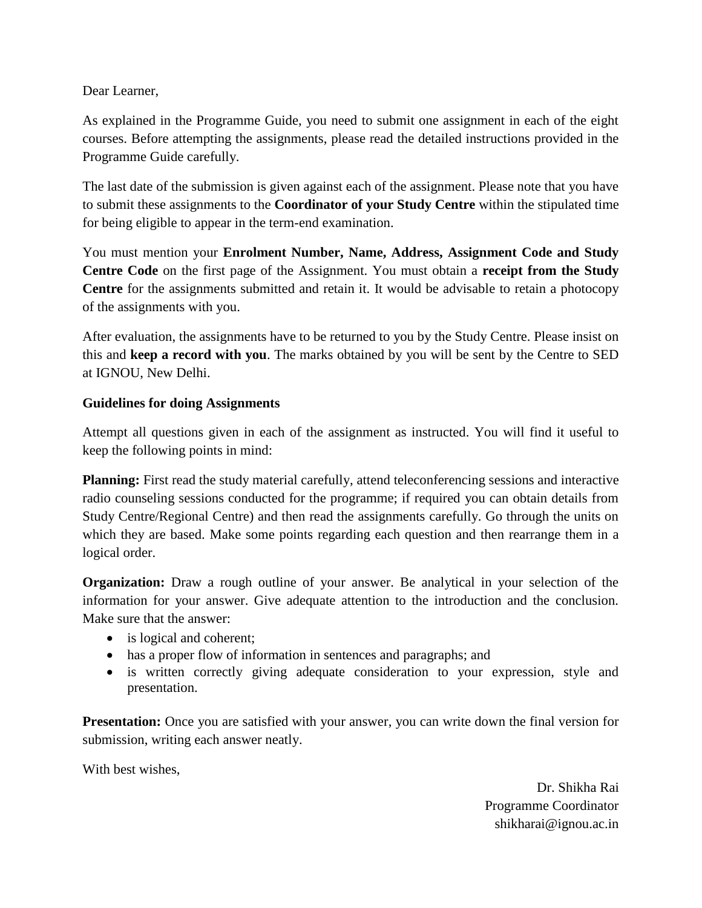Dear Learner,

As explained in the Programme Guide, you need to submit one assignment in each of the eight courses. Before attempting the assignments, please read the detailed instructions provided in the Programme Guide carefully.

The last date of the submission is given against each of the assignment. Please note that you have to submit these assignments to the **Coordinator of your Study Centre** within the stipulated time for being eligible to appear in the term-end examination.

You must mention your **Enrolment Number, Name, Address, Assignment Code and Study Centre Code** on the first page of the Assignment. You must obtain a **receipt from the Study Centre** for the assignments submitted and retain it. It would be advisable to retain a photocopy of the assignments with you.

After evaluation, the assignments have to be returned to you by the Study Centre. Please insist on this and **keep a record with you**. The marks obtained by you will be sent by the Centre to SED at IGNOU, New Delhi.

## **Guidelines for doing Assignments**

Attempt all questions given in each of the assignment as instructed. You will find it useful to keep the following points in mind:

**Planning:** First read the study material carefully, attend teleconferencing sessions and interactive radio counseling sessions conducted for the programme; if required you can obtain details from Study Centre/Regional Centre) and then read the assignments carefully. Go through the units on which they are based. Make some points regarding each question and then rearrange them in a logical order.

**Organization:** Draw a rough outline of your answer. Be analytical in your selection of the information for your answer. Give adequate attention to the introduction and the conclusion. Make sure that the answer:

- is logical and coherent;
- has a proper flow of information in sentences and paragraphs; and
- is written correctly giving adequate consideration to your expression, style and presentation.

**Presentation:** Once you are satisfied with your answer, you can write down the final version for submission, writing each answer neatly.

With best wishes,

Dr. Shikha Rai Programme Coordinator shikharai@ignou.ac.in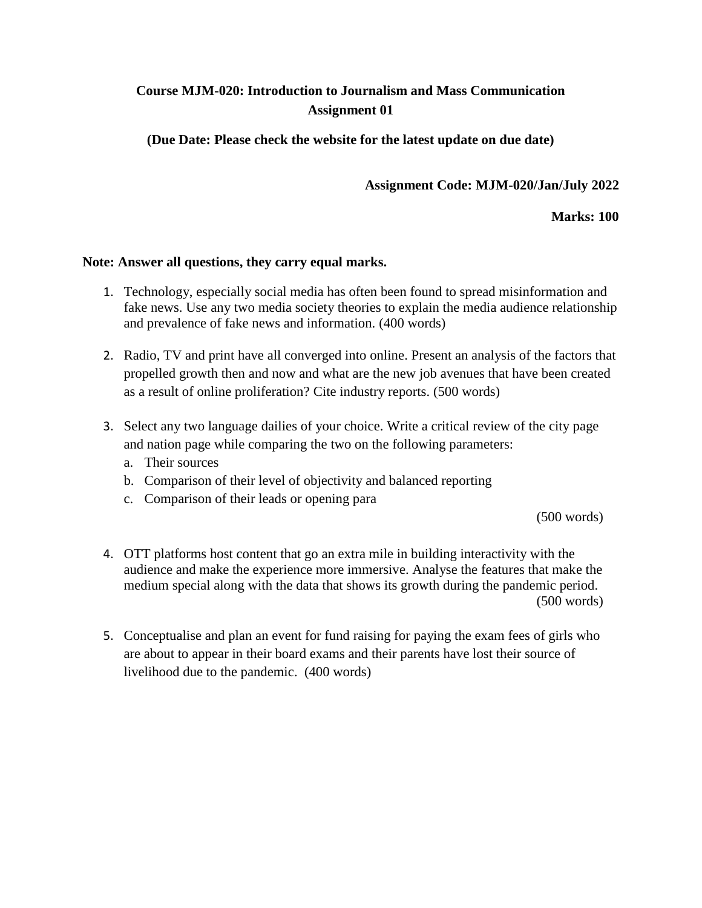# **Course MJM-020: Introduction to Journalism and Mass Communication Assignment 01**

**(Due Date: Please check the website for the latest update on due date)**

**Assignment Code: MJM-020/Jan/July 2022**

**Marks: 100**

## **Note: Answer all questions, they carry equal marks.**

- 1. Technology, especially social media has often been found to spread misinformation and fake news. Use any two media society theories to explain the media audience relationship and prevalence of fake news and information. (400 words)
- 2. Radio, TV and print have all converged into online. Present an analysis of the factors that propelled growth then and now and what are the new job avenues that have been created as a result of online proliferation? Cite industry reports. (500 words)
- 3. Select any two language dailies of your choice. Write a critical review of the city page and nation page while comparing the two on the following parameters:
	- a. Their sources
	- b. Comparison of their level of objectivity and balanced reporting
	- c. Comparison of their leads or opening para

(500 words)

- 4. OTT platforms host content that go an extra mile in building interactivity with the audience and make the experience more immersive. Analyse the features that make the medium special along with the data that shows its growth during the pandemic period. (500 words)
- 5. Conceptualise and plan an event for fund raising for paying the exam fees of girls who are about to appear in their board exams and their parents have lost their source of livelihood due to the pandemic. (400 words)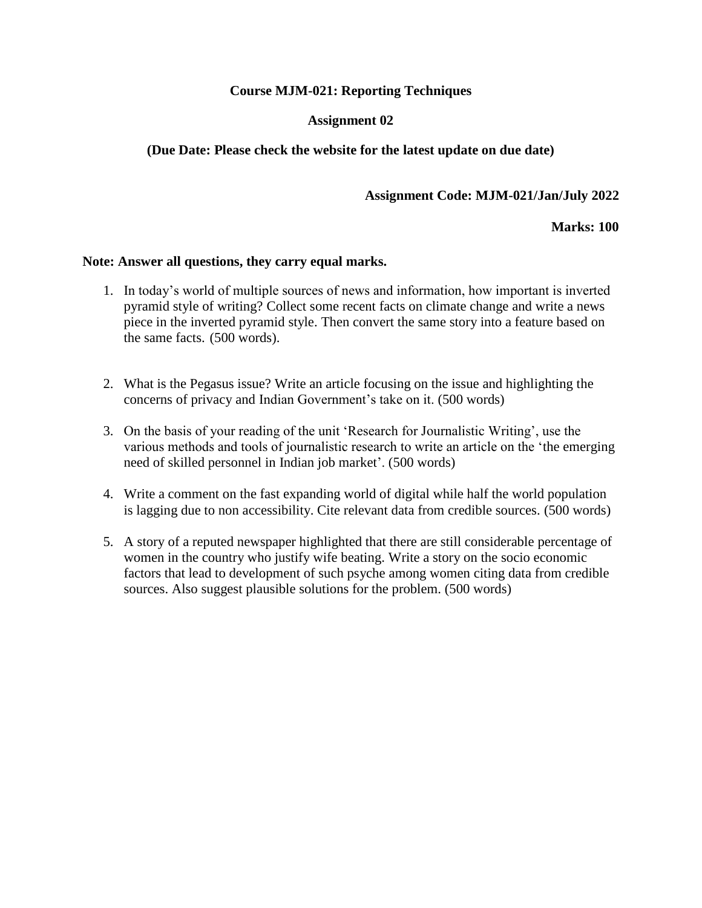## **Course MJM-021: Reporting Techniques**

## **Assignment 02**

## **(Due Date: Please check the website for the latest update on due date)**

## **Assignment Code: MJM-021/Jan/July 2022**

#### **Marks: 100**

#### **Note: Answer all questions, they carry equal marks.**

- 1. In today's world of multiple sources of news and information, how important is inverted pyramid style of writing? Collect some recent facts on climate change and write a news piece in the inverted pyramid style. Then convert the same story into a feature based on the same facts. (500 words).
- 2. What is the Pegasus issue? Write an article focusing on the issue and highlighting the concerns of privacy and Indian Government's take on it. (500 words)
- 3. On the basis of your reading of the unit 'Research for Journalistic Writing', use the various methods and tools of journalistic research to write an article on the 'the emerging need of skilled personnel in Indian job market'. (500 words)
- 4. Write a comment on the fast expanding world of digital while half the world population is lagging due to non accessibility. Cite relevant data from credible sources. (500 words)
- 5. A story of a reputed newspaper highlighted that there are still considerable percentage of women in the country who justify wife beating. Write a story on the socio economic factors that lead to development of such psyche among women citing data from credible sources. Also suggest plausible solutions for the problem. (500 words)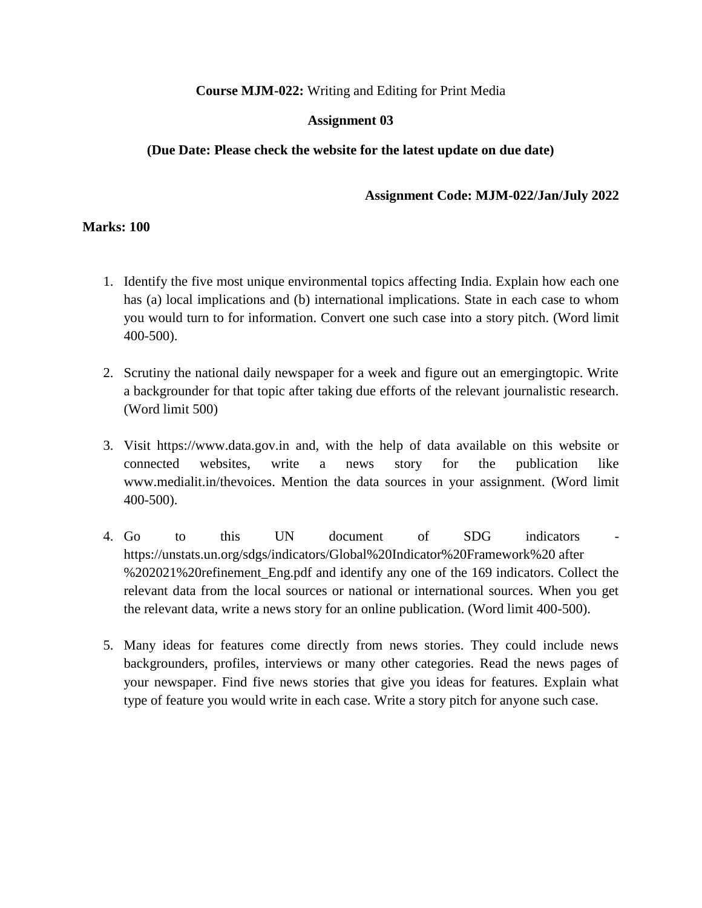## **Course MJM-022:** Writing and Editing for Print Media

## **Assignment 03**

## **(Due Date: Please check the website for the latest update on due date)**

#### **Assignment Code: MJM-022/Jan/July 2022**

## **Marks: 100**

- 1. Identify the five most unique environmental topics affecting India. Explain how each one has (a) local implications and (b) international implications. State in each case to whom you would turn to for information. Convert one such case into a story pitch. (Word limit 400-500).
- 2. Scrutiny the national daily newspaper for a week and figure out an emergingtopic. Write a backgrounder for that topic after taking due efforts of the relevant journalistic research. (Word limit 500)
- 3. Visit https://www.data.gov.in and, with the help of data available on this website or connected websites, write a news story for the publication like www.medialit.in/thevoices. Mention the data sources in your assignment. (Word limit 400-500).
- 4. Go to this UN document of SDG indicators https://unstats.un.org/sdgs/indicators/Global%20Indicator%20Framework%20 after %202021%20refinement\_Eng.pdf and identify any one of the 169 indicators. Collect the relevant data from the local sources or national or international sources. When you get the relevant data, write a news story for an online publication. (Word limit 400-500).
- 5. Many ideas for features come directly from news stories. They could include news backgrounders, profiles, interviews or many other categories. Read the news pages of your newspaper. Find five news stories that give you ideas for features. Explain what type of feature you would write in each case. Write a story pitch for anyone such case.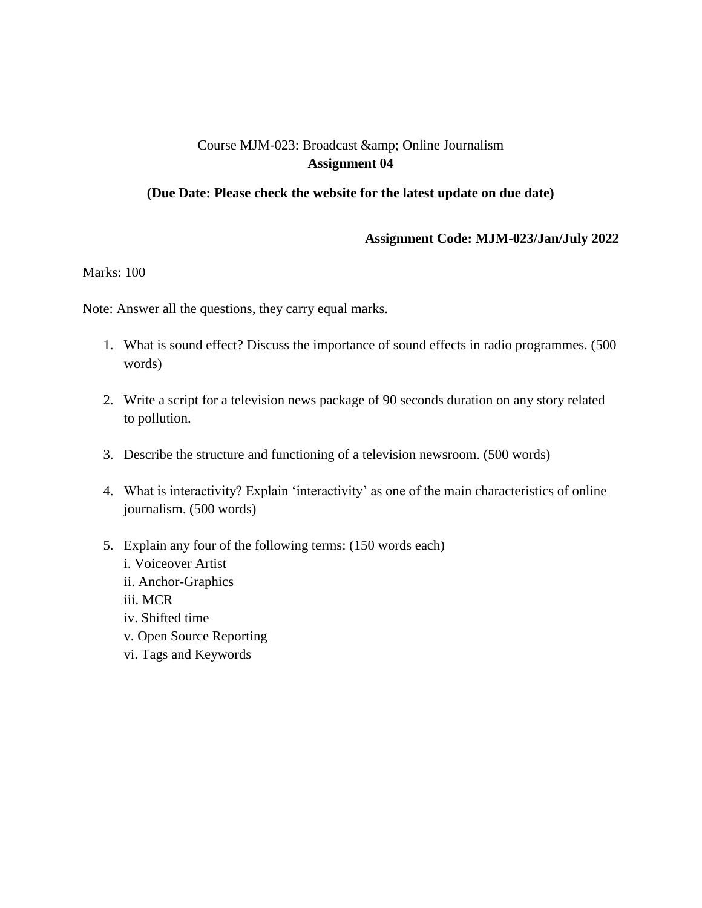# Course MJM-023: Broadcast & amp; Online Journalism **Assignment 04**

#### **(Due Date: Please check the website for the latest update on due date)**

#### **Assignment Code: MJM-023/Jan/July 2022**

Marks: 100

Note: Answer all the questions, they carry equal marks.

- 1. What is sound effect? Discuss the importance of sound effects in radio programmes. (500 words)
- 2. Write a script for a television news package of 90 seconds duration on any story related to pollution.
- 3. Describe the structure and functioning of a television newsroom. (500 words)
- 4. What is interactivity? Explain 'interactivity' as one of the main characteristics of online journalism. (500 words)
- 5. Explain any four of the following terms: (150 words each)
	- i. Voiceover Artist
	- ii. Anchor-Graphics
	- iii. MCR
	- iv. Shifted time
	- v. Open Source Reporting
	- vi. Tags and Keywords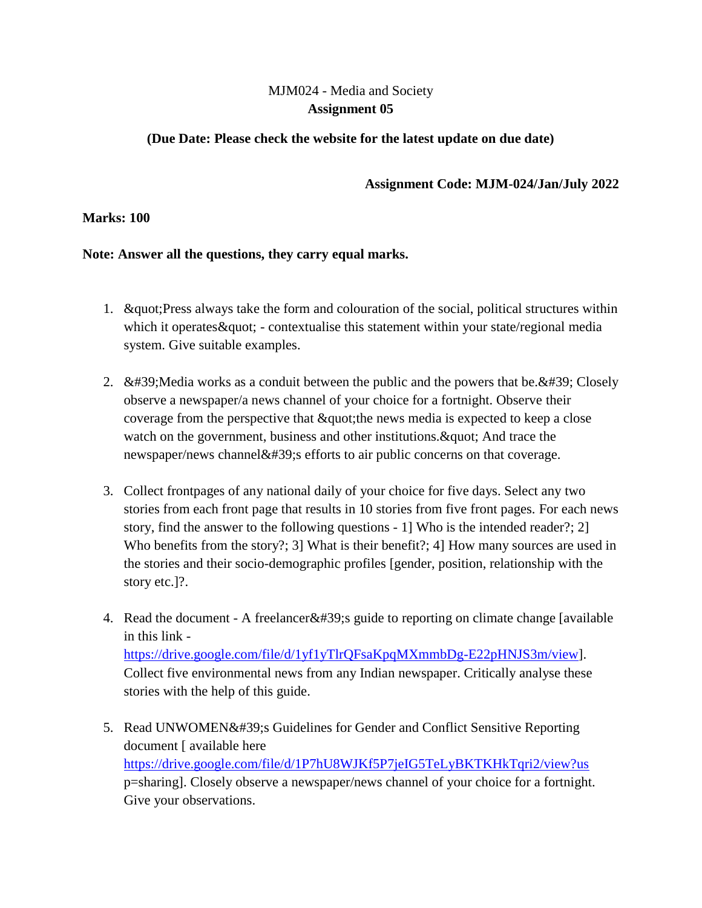# MJM024 - Media and Society **Assignment 05**

# **(Due Date: Please check the website for the latest update on due date)**

**Assignment Code: MJM-024/Jan/July 2022**

## **Marks: 100**

## **Note: Answer all the questions, they carry equal marks.**

- 1. "Equot: Press always take the form and colouration of the social, political structures within which it operates & quot; - contextualise this statement within your state/regional media system. Give suitable examples.
- 2.  $\&\#39$ ; Media works as a conduit between the public and the powers that be.  $&\#39$ ; Closely observe a newspaper/a news channel of your choice for a fortnight. Observe their coverage from the perspective that  $\&$  quot; the news media is expected to keep a close watch on the government, business and other institutions. & quot; And trace the newspaper/news channel $&\#39$ ; efforts to air public concerns on that coverage.
- 3. Collect frontpages of any national daily of your choice for five days. Select any two stories from each front page that results in 10 stories from five front pages. For each news story, find the answer to the following questions - 1] Who is the intended reader?; 2] Who benefits from the story?; 3] What is their benefit?; 4] How many sources are used in the stories and their socio-demographic profiles [gender, position, relationship with the story etc.]?.
- 4. Read the document A freelancer  $&\#39$ ; guide to reporting on climate change [available in this link [https://drive.google.com/file/d/1yf1yTlrQFsaKpqMXmmbDg-E22pHNJS3m/view\]](https://drive.google.com/file/d/1yf1yTlrQFsaKpqMXmmbDg-E22pHNJS3m/view). Collect five environmental news from any Indian newspaper. Critically analyse these stories with the help of this guide.
- 5. Read UNWOMEN' Guidelines for Gender and Conflict Sensitive Reporting document [ available here <https://drive.google.com/file/d/1P7hU8WJKf5P7jeIG5TeLyBKTKHkTqri2/view?us> p=sharing]. Closely observe a newspaper/news channel of your choice for a fortnight. Give your observations.